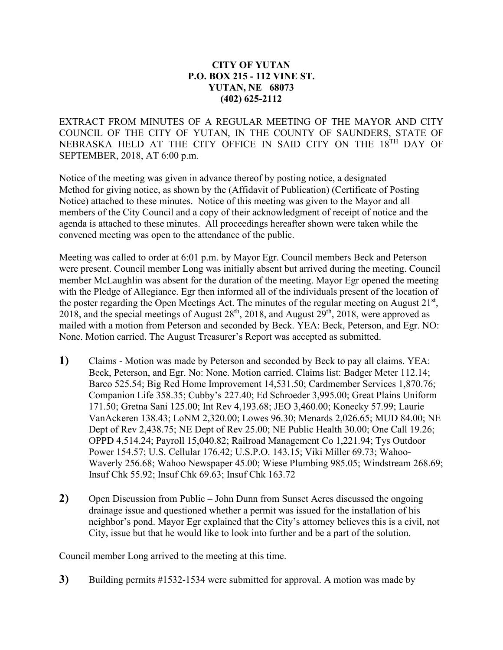## **CITY OF YUTAN P.O. BOX 215 - 112 VINE ST. YUTAN, NE 68073 (402) 625-2112**

EXTRACT FROM MINUTES OF A REGULAR MEETING OF THE MAYOR AND CITY COUNCIL OF THE CITY OF YUTAN, IN THE COUNTY OF SAUNDERS, STATE OF NEBRASKA HELD AT THE CITY OFFICE IN SAID CITY ON THE 18TH DAY OF SEPTEMBER, 2018, AT 6:00 p.m.

Notice of the meeting was given in advance thereof by posting notice, a designated Method for giving notice, as shown by the (Affidavit of Publication) (Certificate of Posting Notice) attached to these minutes. Notice of this meeting was given to the Mayor and all members of the City Council and a copy of their acknowledgment of receipt of notice and the agenda is attached to these minutes. All proceedings hereafter shown were taken while the convened meeting was open to the attendance of the public.

Meeting was called to order at 6:01 p.m. by Mayor Egr. Council members Beck and Peterson were present. Council member Long was initially absent but arrived during the meeting. Council member McLaughlin was absent for the duration of the meeting. Mayor Egr opened the meeting with the Pledge of Allegiance. Egr then informed all of the individuals present of the location of the poster regarding the Open Meetings Act. The minutes of the regular meeting on August  $21<sup>st</sup>$ , 2018, and the special meetings of August  $28<sup>th</sup>$ , 2018, and August  $29<sup>th</sup>$ , 2018, were approved as mailed with a motion from Peterson and seconded by Beck. YEA: Beck, Peterson, and Egr. NO: None. Motion carried. The August Treasurer's Report was accepted as submitted.

- **1)** Claims Motion was made by Peterson and seconded by Beck to pay all claims. YEA: Beck, Peterson, and Egr. No: None. Motion carried. Claims list: Badger Meter 112.14; Barco 525.54; Big Red Home Improvement 14,531.50; Cardmember Services 1,870.76; Companion Life 358.35; Cubby's 227.40; Ed Schroeder 3,995.00; Great Plains Uniform 171.50; Gretna Sani 125.00; Int Rev 4,193.68; JEO 3,460.00; Konecky 57.99; Laurie VanAckeren 138.43; LoNM 2,320.00; Lowes 96.30; Menards 2,026.65; MUD 84.00; NE Dept of Rev 2,438.75; NE Dept of Rev 25.00; NE Public Health 30.00; One Call 19.26; OPPD 4,514.24; Payroll 15,040.82; Railroad Management Co 1,221.94; Tys Outdoor Power 154.57; U.S. Cellular 176.42; U.S.P.O. 143.15; Viki Miller 69.73; Wahoo-Waverly 256.68; Wahoo Newspaper 45.00; Wiese Plumbing 985.05; Windstream 268.69; Insuf Chk 55.92; Insuf Chk 69.63; Insuf Chk 163.72
- **2)** Open Discussion from Public John Dunn from Sunset Acres discussed the ongoing drainage issue and questioned whether a permit was issued for the installation of his neighbor's pond. Mayor Egr explained that the City's attorney believes this is a civil, not City, issue but that he would like to look into further and be a part of the solution.

Council member Long arrived to the meeting at this time.

**3)** Building permits #1532-1534 were submitted for approval. A motion was made by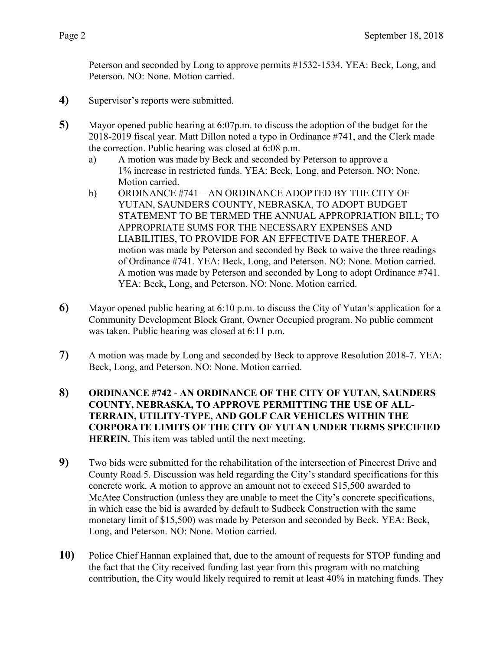Peterson and seconded by Long to approve permits #1532-1534. YEA: Beck, Long, and Peterson. NO: None. Motion carried.

- **4)** Supervisor's reports were submitted.
- **5)** Mayor opened public hearing at 6:07p.m. to discuss the adoption of the budget for the 2018-2019 fiscal year. Matt Dillon noted a typo in Ordinance #741, and the Clerk made the correction. Public hearing was closed at 6:08 p.m.
	- a) A motion was made by Beck and seconded by Peterson to approve a 1% increase in restricted funds. YEA: Beck, Long, and Peterson. NO: None. Motion carried.
	- b) ORDINANCE #741 AN ORDINANCE ADOPTED BY THE CITY OF YUTAN, SAUNDERS COUNTY, NEBRASKA, TO ADOPT BUDGET STATEMENT TO BE TERMED THE ANNUAL APPROPRIATION BILL; TO APPROPRIATE SUMS FOR THE NECESSARY EXPENSES AND LIABILITIES, TO PROVIDE FOR AN EFFECTIVE DATE THEREOF. A motion was made by Peterson and seconded by Beck to waive the three readings of Ordinance #741. YEA: Beck, Long, and Peterson. NO: None. Motion carried. A motion was made by Peterson and seconded by Long to adopt Ordinance #741. YEA: Beck, Long, and Peterson. NO: None. Motion carried.
- **6)** Mayor opened public hearing at 6:10 p.m. to discuss the City of Yutan's application for a Community Development Block Grant, Owner Occupied program. No public comment was taken. Public hearing was closed at 6:11 p.m.
- **7)** A motion was made by Long and seconded by Beck to approve Resolution 2018-7. YEA: Beck, Long, and Peterson. NO: None. Motion carried.
- **8) ORDINANCE #742 AN ORDINANCE OF THE CITY OF YUTAN, SAUNDERS COUNTY, NEBRASKA, TO APPROVE PERMITTING THE USE OF ALL-TERRAIN, UTILITY-TYPE, AND GOLF CAR VEHICLES WITHIN THE CORPORATE LIMITS OF THE CITY OF YUTAN UNDER TERMS SPECIFIED HEREIN.** This item was tabled until the next meeting.
- **9)** Two bids were submitted for the rehabilitation of the intersection of Pinecrest Drive and County Road 5. Discussion was held regarding the City's standard specifications for this concrete work. A motion to approve an amount not to exceed \$15,500 awarded to McAtee Construction (unless they are unable to meet the City's concrete specifications, in which case the bid is awarded by default to Sudbeck Construction with the same monetary limit of \$15,500) was made by Peterson and seconded by Beck. YEA: Beck, Long, and Peterson. NO: None. Motion carried.
- **10)** Police Chief Hannan explained that, due to the amount of requests for STOP funding and the fact that the City received funding last year from this program with no matching contribution, the City would likely required to remit at least 40% in matching funds. They